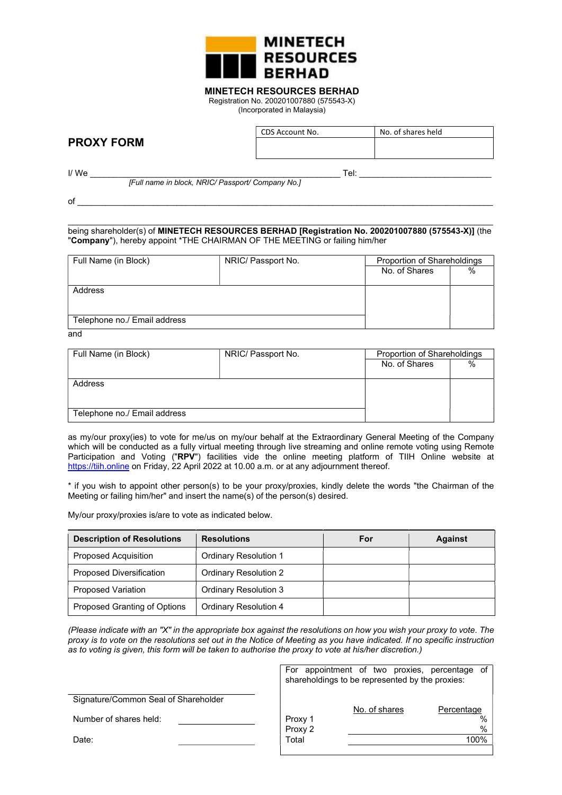

## MINETECH RESOURCES BERHAD

Registration No. 200201007880 (575543-X) (Incorporated in Malaysia)

# PROXY FORM

CDS Account No. No. of shares held

I/ We \_\_\_\_\_\_\_\_\_\_\_\_\_\_\_\_\_\_\_\_\_\_\_\_\_\_\_\_\_\_\_\_\_\_\_\_\_\_\_\_\_\_\_\_\_\_\_\_\_\_\_\_\_ Tel: \_\_\_\_\_\_\_\_\_\_\_\_\_\_\_\_\_\_\_\_\_\_\_\_\_\_\_\_

[Full name in block, NRIC/ Passport/ Company No.]

of  $\_$ 

 $\_$  , and the set of the set of the set of the set of the set of the set of the set of the set of the set of the set of the set of the set of the set of the set of the set of the set of the set of the set of the set of th being shareholder(s) of MINETECH RESOURCES BERHAD [Registration No. 200201007880 (575543-X)] (the "Company"), hereby appoint \*THE CHAIRMAN OF THE MEETING or failing him/her

| Full Name (in Block)         | NRIC/ Passport No. | Proportion of Shareholdings |      |
|------------------------------|--------------------|-----------------------------|------|
|                              |                    | No. of Shares               | $\%$ |
|                              |                    |                             |      |
| Address                      |                    |                             |      |
|                              |                    |                             |      |
|                              |                    |                             |      |
| Telephone no./ Email address |                    |                             |      |

and

| Full Name (in Block)         | NRIC/ Passport No. | Proportion of Shareholdings |      |
|------------------------------|--------------------|-----------------------------|------|
|                              |                    | No. of Shares               | $\%$ |
|                              |                    |                             |      |
| Address                      |                    |                             |      |
|                              |                    |                             |      |
|                              |                    |                             |      |
| Telephone no./ Email address |                    |                             |      |

as my/our proxy(ies) to vote for me/us on my/our behalf at the Extraordinary General Meeting of the Company which will be conducted as a fully virtual meeting through live streaming and online remote voting using Remote Participation and Voting ("RPV") facilities vide the online meeting platform of TIIH Online website at https://tiih.online on Friday, 22 April 2022 at 10.00 a.m. or at any adjournment thereof.

\* if you wish to appoint other person(s) to be your proxy/proxies, kindly delete the words "the Chairman of the Meeting or failing him/her" and insert the name(s) of the person(s) desired.

My/our proxy/proxies is/are to vote as indicated below.

| <b>Description of Resolutions</b> | <b>Resolutions</b>           | For | <b>Against</b> |
|-----------------------------------|------------------------------|-----|----------------|
| <b>Proposed Acquisition</b>       | <b>Ordinary Resolution 1</b> |     |                |
| Proposed Diversification          | <b>Ordinary Resolution 2</b> |     |                |
| <b>Proposed Variation</b>         | <b>Ordinary Resolution 3</b> |     |                |
| Proposed Granting of Options      | Ordinary Resolution 4        |     |                |

(Please indicate with an "X" in the appropriate box against the resolutions on how you wish your proxy to vote. The proxy is to vote on the resolutions set out in the Notice of Meeting as you have indicated. If no specific instruction as to voting is given, this form will be taken to authorise the proxy to vote at his/her discretion.)

|                                      | For appointment of two proxies, percentage of<br>shareholdings to be represented by the proxies: |               |                       |
|--------------------------------------|--------------------------------------------------------------------------------------------------|---------------|-----------------------|
| Signature/Common Seal of Shareholder |                                                                                                  | No. of shares | Percentage            |
| Number of shares held:               | Proxy 1<br>Proxy 2                                                                               |               | $\%$<br>$\frac{0}{0}$ |
| Date:                                | Total                                                                                            |               | 100%                  |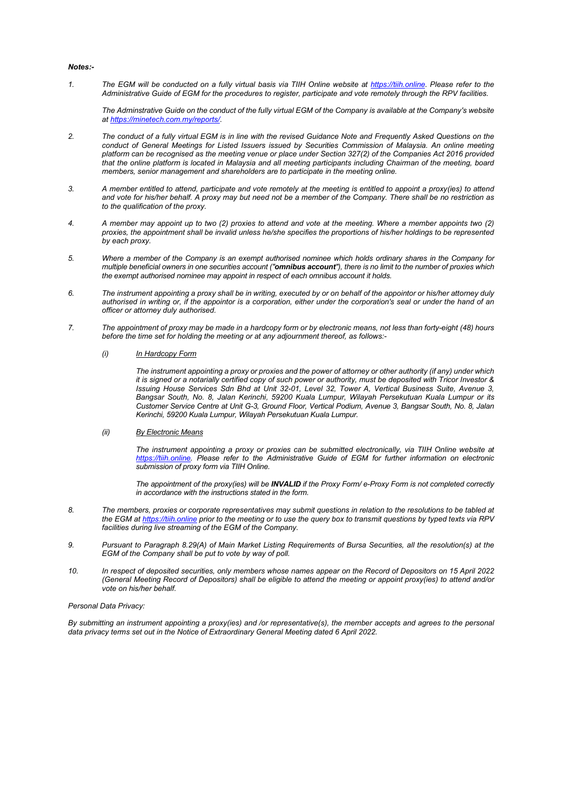#### Notes:-

1. The EGM will be conducted on a fully virtual basis via TIIH Online website at https://tiih.online. Please refer to the Administrative Guide of EGM for the procedures to register, participate and vote remotely through the RPV facilities.

The Adminstrative Guide on the conduct of the fully virtual EGM of the Company is available at the Company's website at https://minetech.com.my/reports/.

- 2. The conduct of a fully virtual EGM is in line with the revised Guidance Note and Frequently Asked Questions on the conduct of General Meetings for Listed Issuers issued by Securities Commission of Malaysia. An online meeting platform can be recognised as the meeting venue or place under Section 327(2) of the Companies Act 2016 provided that the online platform is located in Malaysia and all meeting participants including Chairman of the meeting, board members, senior management and shareholders are to participate in the meeting online.
- 3. A member entitled to attend, participate and vote remotely at the meeting is entitled to appoint a proxy(ies) to attend and vote for his/her behalf. A proxy may but need not be a member of the Company. There shall be no restriction as to the qualification of the proxy.
- 4. A member may appoint up to two (2) proxies to attend and vote at the meeting. Where a member appoints two (2) proxies, the appointment shall be invalid unless he/she specifies the proportions of his/her holdings to be represented by each proxy.
- 5. Where a member of the Company is an exempt authorised nominee which holds ordinary shares in the Company for multiple beneficial owners in one securities account ("omnibus account"), there is no limit to the number of proxies which the exempt authorised nominee may appoint in respect of each omnibus account it holds.
- 6. The instrument appointing a proxy shall be in writing, executed by or on behalf of the appointor or his/her attorney duly authorised in writing or, if the appointor is a corporation, either under the corporation's seal or under the hand of an officer or attorney duly authorised.
- 7. The appointment of proxy may be made in a hardcopy form or by electronic means, not less than forty-eight (48) hours before the time set for holding the meeting or at any adjournment thereof, as follows:-

#### (i) In Hardcopy Form

The instrument appointing a proxy or proxies and the power of attorney or other authority (if any) under which it is signed or a notarially certified copy of such power or authority, must be deposited with Tricor Investor & Issuing House Services Sdn Bhd at Unit 32-01, Level 32, Tower A, Vertical Business Suite, Avenue 3, Bangsar South, No. 8, Jalan Kerinchi, 59200 Kuala Lumpur, Wilayah Persekutuan Kuala Lumpur or its Customer Service Centre at Unit G-3, Ground Floor, Vertical Podium, Avenue 3, Bangsar South, No. 8, Jalan Kerinchi, 59200 Kuala Lumpur, Wilayah Persekutuan Kuala Lumpur.

#### (ii) By Electronic Means

The instrument appointing a proxy or proxies can be submitted electronically, via TIIH Online website at https://tiih.online. Please refer to the Administrative Guide of EGM for further information on electronic submission of proxy form via TIIH Online.

The appointment of the proxy(ies) will be INVALID if the Proxy Form/ e-Proxy Form is not completed correctly in accordance with the instructions stated in the form.

- 8. The members, proxies or corporate representatives may submit questions in relation to the resolutions to be tabled at the EGM at https://tiih.online prior to the meeting or to use the query box to transmit questions by typed texts via RPV facilities during live streaming of the EGM of the Company.
- 9. Pursuant to Paragraph 8.29(A) of Main Market Listing Requirements of Bursa Securities, all the resolution(s) at the EGM of the Company shall be put to vote by way of poll.
- 10. In respect of deposited securities, only members whose names appear on the Record of Depositors on 15 April 2022 (General Meeting Record of Depositors) shall be eligible to attend the meeting or appoint proxy(ies) to attend and/or vote on his/her behalf.

#### Personal Data Privacy:

By submitting an instrument appointing a proxy(ies) and /or representative(s), the member accepts and agrees to the personal data privacy terms set out in the Notice of Extraordinary General Meeting dated 6 April 2022.